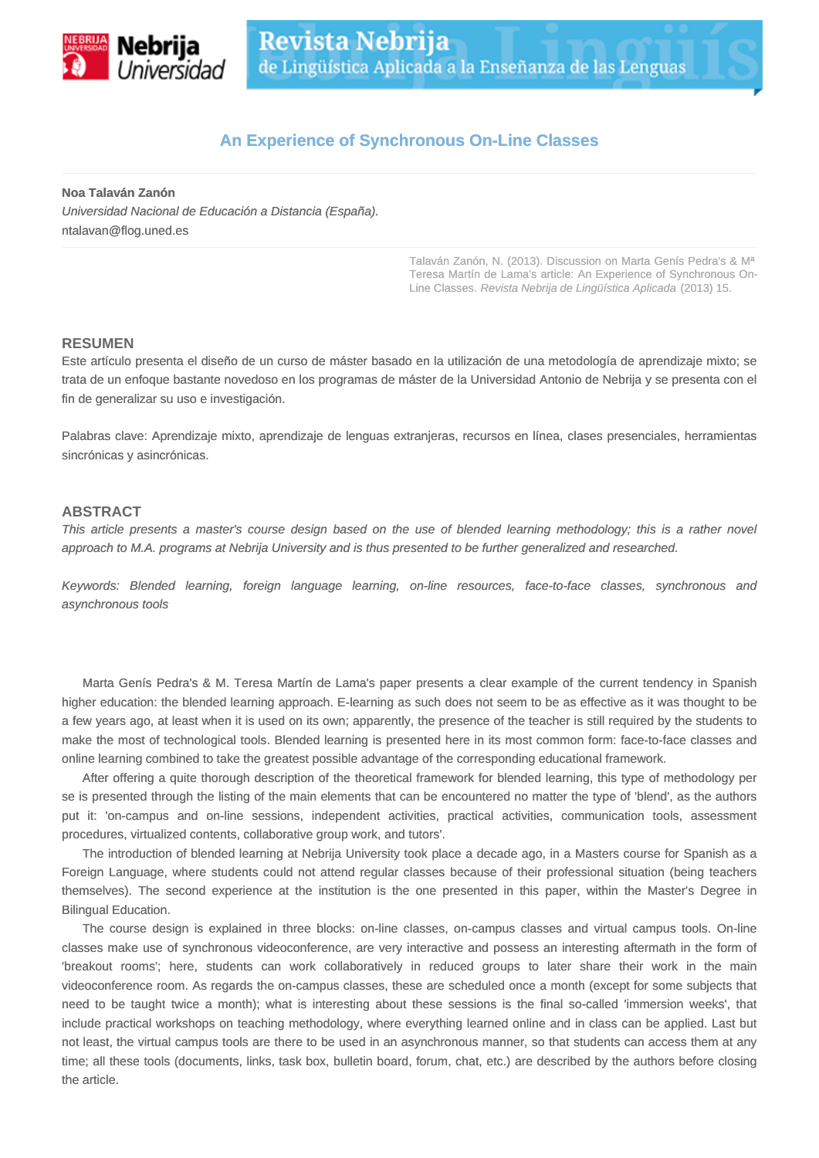

## **An Experience of Synchronous On-Line Classes**

**Noa Talaván Zanón**

Universidad Nacional de Educación a Distancia (España). ntalavan@flog.uned.es

> Talaván Zanón, N. (2013). Discussion on Marta Genís Pedra's & Mª Teresa Martín de Lama's article: An Experience of Synchronous On-Line Classes. Revista Nebrija de Lingüística Aplicada (2013) 15.

## **RESUMEN**

Este artículo presenta el diseño de un curso de máster basado en la utilización de una metodología de aprendizaje mixto; se trata de un enfoque bastante novedoso en los programas de máster de la Universidad Antonio de Nebrija y se presenta con el fin de generalizar su uso e investigación.

Palabras clave: Aprendizaje mixto, aprendizaje de lenguas extranjeras, recursos en línea, clases presenciales, herramientas sincrónicas y asincrónicas.

## **ABSTRACT**

This article presents a master's course design based on the use of blended learning methodology; this is a rather novel approach to M.A. programs at Nebrija University and is thus presented to be further generalized and researched.

Keywords: Blended learning, foreign language learning, on-line resources, face-to-face classes, synchronous and asynchronous tools

Marta Genís Pedra's & M. Teresa Martín de Lama's paper presents a clear example of the current tendency in Spanish higher education: the blended learning approach. E-learning as such does not seem to be as effective as it was thought to be a few years ago, at least when it is used on its own; apparently, the presence of the teacher is still required by the students to make the most of technological tools. Blended learning is presented here in its most common form: face-to-face classes and online learning combined to take the greatest possible advantage of the corresponding educational framework.

After offering a quite thorough description of the theoretical framework for blended learning, this type of methodology per se is presented through the listing of the main elements that can be encountered no matter the type of 'blend', as the authors put it: 'on-campus and on-line sessions, independent activities, practical activities, communication tools, assessment procedures, virtualized contents, collaborative group work, and tutors'.

The introduction of blended learning at Nebrija University took place a decade ago, in a Masters course for Spanish as a Foreign Language, where students could not attend regular classes because of their professional situation (being teachers themselves). The second experience at the institution is the one presented in this paper, within the Master's Degree in Bilingual Education.

The course design is explained in three blocks: on-line classes, on-campus classes and virtual campus tools. On-line classes make use of synchronous videoconference, are very interactive and possess an interesting aftermath in the form of 'breakout rooms'; here, students can work collaboratively in reduced groups to later share their work in the main videoconference room. As regards the on-campus classes, these are scheduled once a month (except for some subjects that need to be taught twice a month); what is interesting about these sessions is the final so-called 'immersion weeks', that include practical workshops on teaching methodology, where everything learned online and in class can be applied. Last but not least, the virtual campus tools are there to be used in an asynchronous manner, so that students can access them at any time; all these tools (documents, links, task box, bulletin board, forum, chat, etc.) are described by the authors before closing the article.